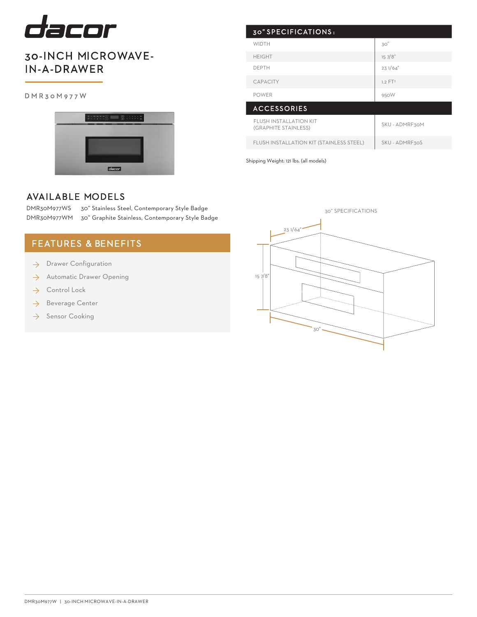

## 30-INCH MICROWAVE-IN-A-DRAWER

#### DMR30M977W



| 30" SPECIFICATIONS:                                   |                     |
|-------------------------------------------------------|---------------------|
| <b>WIDTH</b>                                          | 30"                 |
| <b>HEIGHT</b>                                         | 157/8"              |
| <b>DEPTH</b>                                          | 231/64"             |
| <b>CAPACITY</b>                                       | 1.2 FT <sup>3</sup> |
| <b>POWER</b>                                          | 950W                |
| <b>ACCESSORIES</b>                                    |                     |
| <b>FLUSH INSTALLATION KIT</b><br>(GRAPHITE STAINLESS) | SKU - ADMRF30M      |
| FLUSH INSTALLATION KIT (STAINLESS STEEL)              | SKU - ADMRF30S      |

Shipping Weight: 121 lbs. (all models)

### AVAILABLE MODELS

DMR30M977WS 30" Stainless Steel, Contemporary Style Badge DMR30M977WM 30" Graphite Stainless, Contemporary Style Badge

## FEATURES & BENEFITS

- Drawer Configuration ◊
- Automatic Drawer Opening ◊
- Control Lock ◊
- $\rightarrow$  Beverage Center
- $\rightarrow$  Sensor Cooking